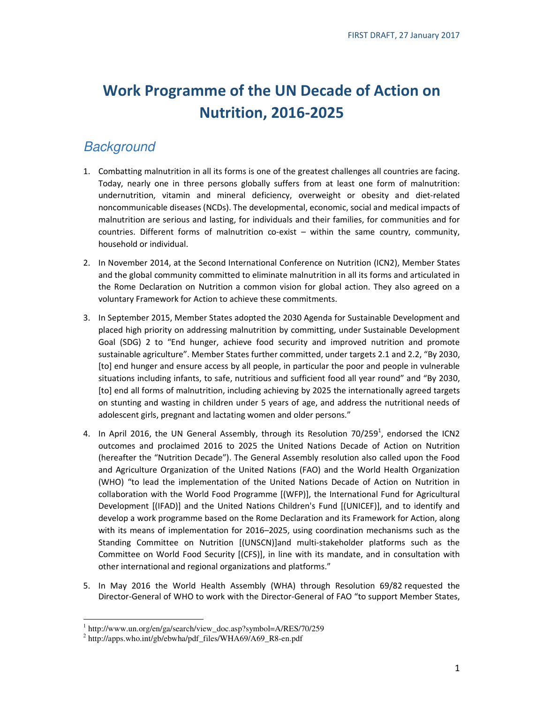# Work Programme of the UN Decade of Action on Nutrition, 2016-2025

## **Background**

- 1. Combatting malnutrition in all its forms is one of the greatest challenges all countries are facing. Today, nearly one in three persons globally suffers from at least one form of malnutrition: undernutrition, vitamin and mineral deficiency, overweight or obesity and diet-related noncommunicable diseases (NCDs). The developmental, economic, social and medical impacts of malnutrition are serious and lasting, for individuals and their families, for communities and for countries. Different forms of malnutrition co-exist – within the same country, community, household or individual.
- 2. In November 2014, at the Second International Conference on Nutrition (ICN2), Member States and the global community committed to eliminate malnutrition in all its forms and articulated in the Rome Declaration on Nutrition a common vision for global action. They also agreed on a voluntary Framework for Action to achieve these commitments.
- 3. In September 2015, Member States adopted the 2030 Agenda for Sustainable Development and placed high priority on addressing malnutrition by committing, under Sustainable Development Goal (SDG) 2 to "End hunger, achieve food security and improved nutrition and promote sustainable agriculture". Member States further committed, under targets 2.1 and 2.2, "By 2030, [to] end hunger and ensure access by all people, in particular the poor and people in vulnerable situations including infants, to safe, nutritious and sufficient food all year round" and "By 2030, [to] end all forms of malnutrition, including achieving by 2025 the internationally agreed targets on stunting and wasting in children under 5 years of age, and address the nutritional needs of adolescent girls, pregnant and lactating women and older persons."
- 4. In April 2016, the UN General Assembly, through its Resolution 70/259<sup>1</sup>, endorsed the ICN2 outcomes and proclaimed 2016 to 2025 the United Nations Decade of Action on Nutrition (hereafter the "Nutrition Decade"). The General Assembly resolution also called upon the Food and Agriculture Organization of the United Nations (FAO) and the World Health Organization (WHO) "to lead the implementation of the United Nations Decade of Action on Nutrition in collaboration with the World Food Programme [(WFP)], the International Fund for Agricultural Development [(IFAD)] and the United Nations Children's Fund [(UNICEF)], and to identify and develop a work programme based on the Rome Declaration and its Framework for Action, along with its means of implementation for 2016–2025, using coordination mechanisms such as the Standing Committee on Nutrition [(UNSCN)]and multi-stakeholder platforms such as the Committee on World Food Security [(CFS)], in line with its mandate, and in consultation with other international and regional organizations and platforms."
- 5. In May 2016 the World Health Assembly (WHA) through Resolution 69/82 requested the Director-General of WHO to work with the Director-General of FAO "to support Member States,

 $\overline{a}$ <sup>1</sup> http://www.un.org/en/ga/search/view\_doc.asp?symbol=A/RES/70/259

<sup>&</sup>lt;sup>2</sup> http://apps.who.int/gb/ebwha/pdf\_files/WHA69/A69\_R8-en.pdf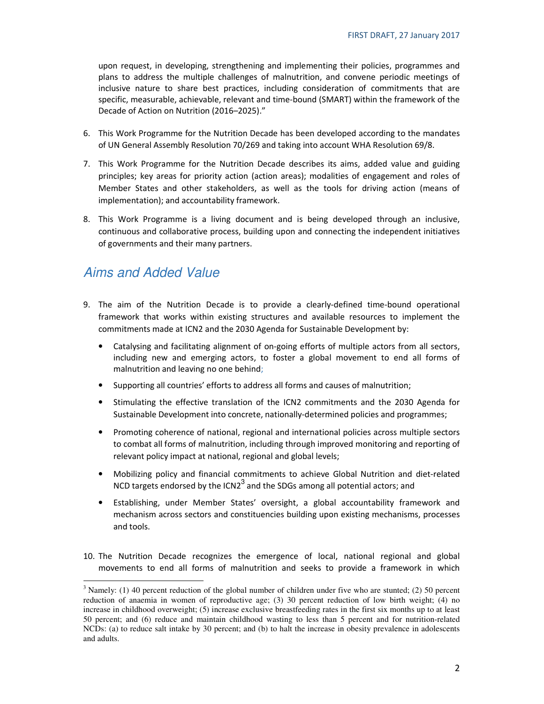upon request, in developing, strengthening and implementing their policies, programmes and plans to address the multiple challenges of malnutrition, and convene periodic meetings of inclusive nature to share best practices, including consideration of commitments that are specific, measurable, achievable, relevant and time-bound (SMART) within the framework of the Decade of Action on Nutrition (2016–2025)."

- 6. This Work Programme for the Nutrition Decade has been developed according to the mandates of UN General Assembly Resolution 70/269 and taking into account WHA Resolution 69/8.
- 7. This Work Programme for the Nutrition Decade describes its aims, added value and guiding principles; key areas for priority action (action areas); modalities of engagement and roles of Member States and other stakeholders, as well as the tools for driving action (means of implementation); and accountability framework.
- 8. This Work Programme is a living document and is being developed through an inclusive, continuous and collaborative process, building upon and connecting the independent initiatives of governments and their many partners.

## Aims and Added Value

 $\ddot{\phantom{a}}$ 

- 9. The aim of the Nutrition Decade is to provide a clearly-defined time-bound operational framework that works within existing structures and available resources to implement the commitments made at ICN2 and the 2030 Agenda for Sustainable Development by:
	- Catalysing and facilitating alignment of on-going efforts of multiple actors from all sectors, including new and emerging actors, to foster a global movement to end all forms of malnutrition and leaving no one behind;
	- Supporting all countries' efforts to address all forms and causes of malnutrition;
	- Stimulating the effective translation of the ICN2 commitments and the 2030 Agenda for Sustainable Development into concrete, nationally-determined policies and programmes;
	- Promoting coherence of national, regional and international policies across multiple sectors to combat all forms of malnutrition, including through improved monitoring and reporting of relevant policy impact at national, regional and global levels;
	- Mobilizing policy and financial commitments to achieve Global Nutrition and diet-related NCD targets endorsed by the ICN2<sup>3</sup> and the SDGs among all potential actors; and
	- Establishing, under Member States' oversight, a global accountability framework and mechanism across sectors and constituencies building upon existing mechanisms, processes and tools.
- 10. The Nutrition Decade recognizes the emergence of local, national regional and global movements to end all forms of malnutrition and seeks to provide a framework in which

<sup>&</sup>lt;sup>3</sup> Namely: (1) 40 percent reduction of the global number of children under five who are stunted; (2) 50 percent reduction of anaemia in women of reproductive age; (3) 30 percent reduction of low birth weight; (4) no increase in childhood overweight; (5) increase exclusive breastfeeding rates in the first six months up to at least 50 percent; and (6) reduce and maintain childhood wasting to less than 5 percent and for nutrition-related NCDs: (a) to reduce salt intake by 30 percent; and (b) to halt the increase in obesity prevalence in adolescents and adults.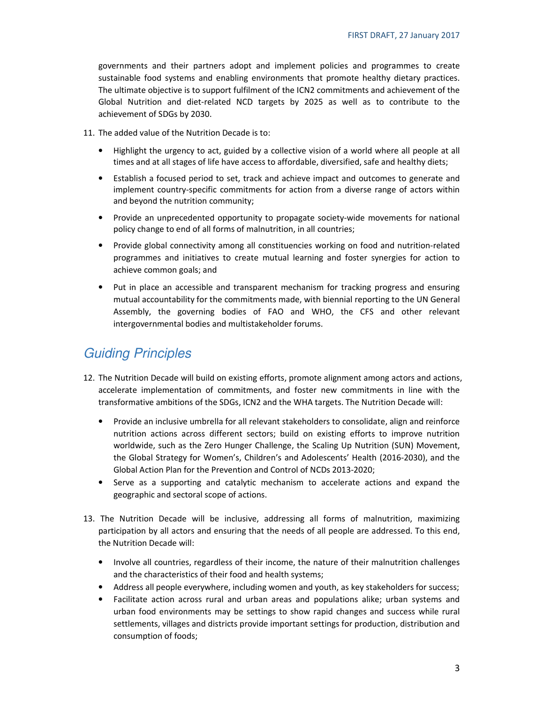governments and their partners adopt and implement policies and programmes to create sustainable food systems and enabling environments that promote healthy dietary practices. The ultimate objective is to support fulfilment of the ICN2 commitments and achievement of the Global Nutrition and diet-related NCD targets by 2025 as well as to contribute to the achievement of SDGs by 2030.

11. The added value of the Nutrition Decade is to:

- Highlight the urgency to act, guided by a collective vision of a world where all people at all times and at all stages of life have access to affordable, diversified, safe and healthy diets;
- Establish a focused period to set, track and achieve impact and outcomes to generate and implement country-specific commitments for action from a diverse range of actors within and beyond the nutrition community;
- Provide an unprecedented opportunity to propagate society-wide movements for national policy change to end of all forms of malnutrition, in all countries;
- Provide global connectivity among all constituencies working on food and nutrition-related programmes and initiatives to create mutual learning and foster synergies for action to achieve common goals; and
- Put in place an accessible and transparent mechanism for tracking progress and ensuring mutual accountability for the commitments made, with biennial reporting to the UN General Assembly, the governing bodies of FAO and WHO, the CFS and other relevant intergovernmental bodies and multistakeholder forums.

## Guiding Principles

- 12. The Nutrition Decade will build on existing efforts, promote alignment among actors and actions, accelerate implementation of commitments, and foster new commitments in line with the transformative ambitions of the SDGs, ICN2 and the WHA targets. The Nutrition Decade will:
	- Provide an inclusive umbrella for all relevant stakeholders to consolidate, align and reinforce nutrition actions across different sectors; build on existing efforts to improve nutrition worldwide, such as the Zero Hunger Challenge, the Scaling Up Nutrition (SUN) Movement, the Global Strategy for Women's, Children's and Adolescents' Health (2016-2030), and the Global Action Plan for the Prevention and Control of NCDs 2013-2020;
	- Serve as a supporting and catalytic mechanism to accelerate actions and expand the geographic and sectoral scope of actions.
- 13. The Nutrition Decade will be inclusive, addressing all forms of malnutrition, maximizing participation by all actors and ensuring that the needs of all people are addressed. To this end, the Nutrition Decade will:
	- Involve all countries, regardless of their income, the nature of their malnutrition challenges and the characteristics of their food and health systems;
	- Address all people everywhere, including women and youth, as key stakeholders for success;
	- Facilitate action across rural and urban areas and populations alike; urban systems and urban food environments may be settings to show rapid changes and success while rural settlements, villages and districts provide important settings for production, distribution and consumption of foods;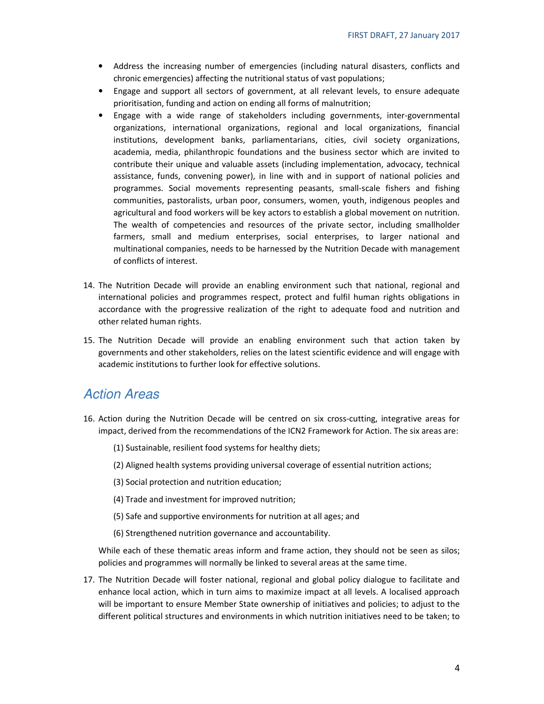- Address the increasing number of emergencies (including natural disasters, conflicts and chronic emergencies) affecting the nutritional status of vast populations;
- Engage and support all sectors of government, at all relevant levels, to ensure adequate prioritisation, funding and action on ending all forms of malnutrition;
- Engage with a wide range of stakeholders including governments, inter-governmental organizations, international organizations, regional and local organizations, financial institutions, development banks, parliamentarians, cities, civil society organizations, academia, media, philanthropic foundations and the business sector which are invited to contribute their unique and valuable assets (including implementation, advocacy, technical assistance, funds, convening power), in line with and in support of national policies and programmes. Social movements representing peasants, small-scale fishers and fishing communities, pastoralists, urban poor, consumers, women, youth, indigenous peoples and agricultural and food workers will be key actors to establish a global movement on nutrition. The wealth of competencies and resources of the private sector, including smallholder farmers, small and medium enterprises, social enterprises, to larger national and multinational companies, needs to be harnessed by the Nutrition Decade with management of conflicts of interest.
- 14. The Nutrition Decade will provide an enabling environment such that national, regional and international policies and programmes respect, protect and fulfil human rights obligations in accordance with the progressive realization of the right to adequate food and nutrition and other related human rights.
- 15. The Nutrition Decade will provide an enabling environment such that action taken by governments and other stakeholders, relies on the latest scientific evidence and will engage with academic institutions to further look for effective solutions.

### Action Areas

- 16. Action during the Nutrition Decade will be centred on six cross-cutting, integrative areas for impact, derived from the recommendations of the ICN2 Framework for Action. The six areas are:
	- (1) Sustainable, resilient food systems for healthy diets;
	- (2) Aligned health systems providing universal coverage of essential nutrition actions;
	- (3) Social protection and nutrition education;
	- (4) Trade and investment for improved nutrition;
	- (5) Safe and supportive environments for nutrition at all ages; and
	- (6) Strengthened nutrition governance and accountability.

While each of these thematic areas inform and frame action, they should not be seen as silos; policies and programmes will normally be linked to several areas at the same time.

17. The Nutrition Decade will foster national, regional and global policy dialogue to facilitate and enhance local action, which in turn aims to maximize impact at all levels. A localised approach will be important to ensure Member State ownership of initiatives and policies; to adjust to the different political structures and environments in which nutrition initiatives need to be taken; to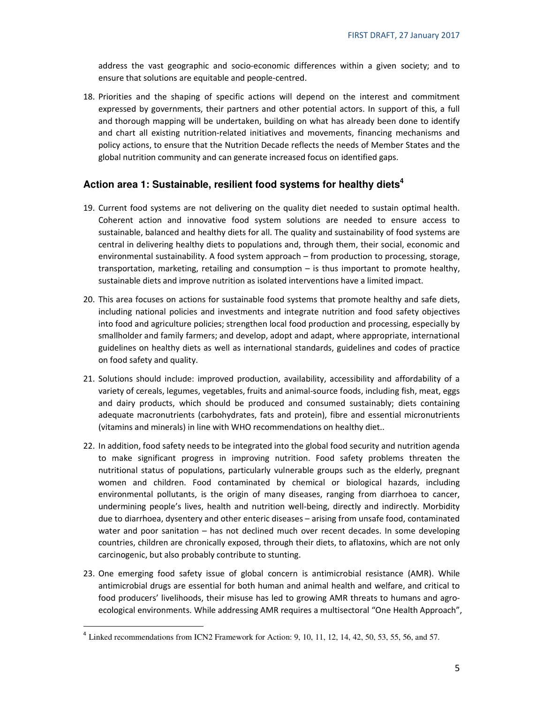address the vast geographic and socio-economic differences within a given society; and to ensure that solutions are equitable and people-centred.

18. Priorities and the shaping of specific actions will depend on the interest and commitment expressed by governments, their partners and other potential actors. In support of this, a full and thorough mapping will be undertaken, building on what has already been done to identify and chart all existing nutrition-related initiatives and movements, financing mechanisms and policy actions, to ensure that the Nutrition Decade reflects the needs of Member States and the global nutrition community and can generate increased focus on identified gaps.

#### **Action area 1: Sustainable, resilient food systems for healthy diets<sup>4</sup>**

- 19. Current food systems are not delivering on the quality diet needed to sustain optimal health. Coherent action and innovative food system solutions are needed to ensure access to sustainable, balanced and healthy diets for all. The quality and sustainability of food systems are central in delivering healthy diets to populations and, through them, their social, economic and environmental sustainability. A food system approach – from production to processing, storage, transportation, marketing, retailing and consumption – is thus important to promote healthy, sustainable diets and improve nutrition as isolated interventions have a limited impact.
- 20. This area focuses on actions for sustainable food systems that promote healthy and safe diets, including national policies and investments and integrate nutrition and food safety objectives into food and agriculture policies; strengthen local food production and processing, especially by smallholder and family farmers; and develop, adopt and adapt, where appropriate, international guidelines on healthy diets as well as international standards, guidelines and codes of practice on food safety and quality.
- 21. Solutions should include: improved production, availability, accessibility and affordability of a variety of cereals, legumes, vegetables, fruits and animal-source foods, including fish, meat, eggs and dairy products, which should be produced and consumed sustainably; diets containing adequate macronutrients (carbohydrates, fats and protein), fibre and essential micronutrients (vitamins and minerals) in line with WHO recommendations on healthy diet..
- 22. In addition, food safety needs to be integrated into the global food security and nutrition agenda to make significant progress in improving nutrition. Food safety problems threaten the nutritional status of populations, particularly vulnerable groups such as the elderly, pregnant women and children. Food contaminated by chemical or biological hazards, including environmental pollutants, is the origin of many diseases, ranging from diarrhoea to cancer, undermining people's lives, health and nutrition well-being, directly and indirectly. Morbidity due to diarrhoea, dysentery and other enteric diseases – arising from unsafe food, contaminated water and poor sanitation – has not declined much over recent decades. In some developing countries, children are chronically exposed, through their diets, to aflatoxins, which are not only carcinogenic, but also probably contribute to stunting.
- 23. One emerging food safety issue of global concern is antimicrobial resistance (AMR). While antimicrobial drugs are essential for both human and animal health and welfare, and critical to food producers' livelihoods, their misuse has led to growing AMR threats to humans and agroecological environments. While addressing AMR requires a multisectoral "One Health Approach",

 $\ddot{\phantom{a}}$ 

<sup>&</sup>lt;sup>4</sup> Linked recommendations from ICN2 Framework for Action: 9, 10, 11, 12, 14, 42, 50, 53, 55, 56, and 57.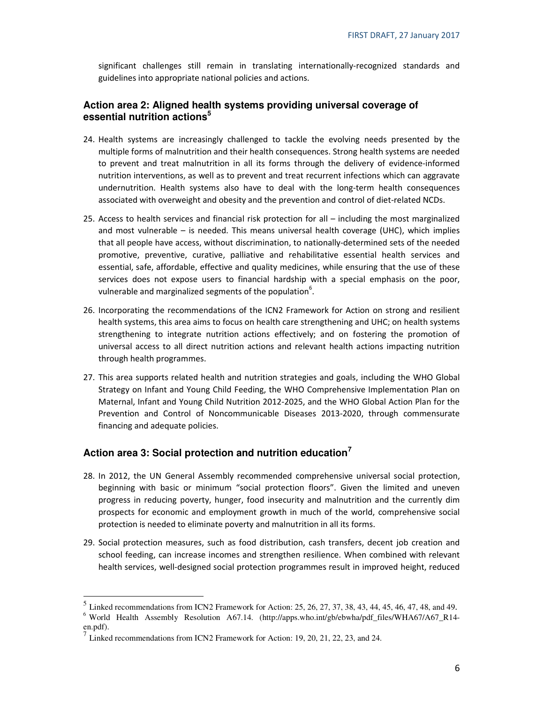significant challenges still remain in translating internationally-recognized standards and guidelines into appropriate national policies and actions.

#### **Action area 2: Aligned health systems providing universal coverage of essential nutrition actions<sup>5</sup>**

- 24. Health systems are increasingly challenged to tackle the evolving needs presented by the multiple forms of malnutrition and their health consequences. Strong health systems are needed to prevent and treat malnutrition in all its forms through the delivery of evidence-informed nutrition interventions, as well as to prevent and treat recurrent infections which can aggravate undernutrition. Health systems also have to deal with the long-term health consequences associated with overweight and obesity and the prevention and control of diet-related NCDs.
- 25. Access to health services and financial risk protection for all including the most marginalized and most vulnerable – is needed. This means universal health coverage (UHC), which implies that all people have access, without discrimination, to nationally-determined sets of the needed promotive, preventive, curative, palliative and rehabilitative essential health services and essential, safe, affordable, effective and quality medicines, while ensuring that the use of these services does not expose users to financial hardship with a special emphasis on the poor, vulnerable and marginalized segments of the population<sup>6</sup>.
- 26. Incorporating the recommendations of the ICN2 Framework for Action on strong and resilient health systems, this area aims to focus on health care strengthening and UHC; on health systems strengthening to integrate nutrition actions effectively; and on fostering the promotion of universal access to all direct nutrition actions and relevant health actions impacting nutrition through health programmes.
- 27. This area supports related health and nutrition strategies and goals, including the WHO Global Strategy on Infant and Young Child Feeding, the WHO Comprehensive Implementation Plan on Maternal, Infant and Young Child Nutrition 2012-2025, and the WHO Global Action Plan for the Prevention and Control of Noncommunicable Diseases 2013-2020, through commensurate financing and adequate policies.

#### **Action area 3: Social protection and nutrition education<sup>7</sup>**

- 28. In 2012, the UN General Assembly recommended comprehensive universal social protection, beginning with basic or minimum "social protection floors". Given the limited and uneven progress in reducing poverty, hunger, food insecurity and malnutrition and the currently dim prospects for economic and employment growth in much of the world, comprehensive social protection is needed to eliminate poverty and malnutrition in all its forms.
- 29. Social protection measures, such as food distribution, cash transfers, decent job creation and school feeding, can increase incomes and strengthen resilience. When combined with relevant health services, well-designed social protection programmes result in improved height, reduced

<sup>&</sup>lt;sup>5</sup> Linked recommendations from ICN2 Framework for Action: 25, 26, 27, 37, 38, 43, 44, 45, 46, 47, 48, and 49. <sup>6</sup> World Health Assembly Resolution A67.14. (http://apps.who.int/gb/ebwha/pdf\_files/WHA67/A67\_R14-

en.pdf).

<sup>7</sup> Linked recommendations from ICN2 Framework for Action: 19, 20, 21, 22, 23, and 24.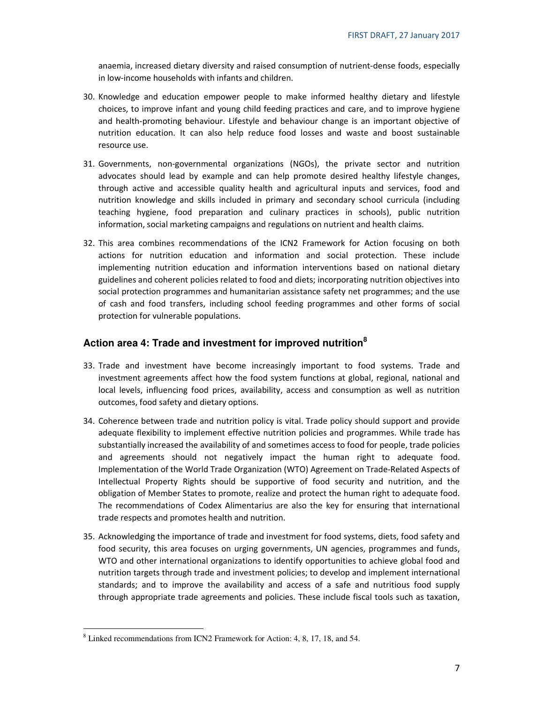anaemia, increased dietary diversity and raised consumption of nutrient-dense foods, especially in low-income households with infants and children.

- 30. Knowledge and education empower people to make informed healthy dietary and lifestyle choices, to improve infant and young child feeding practices and care, and to improve hygiene and health-promoting behaviour. Lifestyle and behaviour change is an important objective of nutrition education. It can also help reduce food losses and waste and boost sustainable resource use.
- 31. Governments, non-governmental organizations (NGOs), the private sector and nutrition advocates should lead by example and can help promote desired healthy lifestyle changes, through active and accessible quality health and agricultural inputs and services, food and nutrition knowledge and skills included in primary and secondary school curricula (including teaching hygiene, food preparation and culinary practices in schools), public nutrition information, social marketing campaigns and regulations on nutrient and health claims.
- 32. This area combines recommendations of the ICN2 Framework for Action focusing on both actions for nutrition education and information and social protection. These include implementing nutrition education and information interventions based on national dietary guidelines and coherent policies related to food and diets; incorporating nutrition objectives into social protection programmes and humanitarian assistance safety net programmes; and the use of cash and food transfers, including school feeding programmes and other forms of social protection for vulnerable populations.

#### **Action area 4: Trade and investment for improved nutrition<sup>8</sup>**

- 33. Trade and investment have become increasingly important to food systems. Trade and investment agreements affect how the food system functions at global, regional, national and local levels, influencing food prices, availability, access and consumption as well as nutrition outcomes, food safety and dietary options.
- 34. Coherence between trade and nutrition policy is vital. Trade policy should support and provide adequate flexibility to implement effective nutrition policies and programmes. While trade has substantially increased the availability of and sometimes access to food for people, trade policies and agreements should not negatively impact the human right to adequate food. Implementation of the World Trade Organization (WTO) Agreement on Trade-Related Aspects of Intellectual Property Rights should be supportive of food security and nutrition, and the obligation of Member States to promote, realize and protect the human right to adequate food. The recommendations of Codex Alimentarius are also the key for ensuring that international trade respects and promotes health and nutrition.
- 35. Acknowledging the importance of trade and investment for food systems, diets, food safety and food security, this area focuses on urging governments, UN agencies, programmes and funds, WTO and other international organizations to identify opportunities to achieve global food and nutrition targets through trade and investment policies; to develop and implement international standards; and to improve the availability and access of a safe and nutritious food supply through appropriate trade agreements and policies. These include fiscal tools such as taxation,

 $\overline{a}$ 

<sup>&</sup>lt;sup>8</sup> Linked recommendations from ICN2 Framework for Action: 4, 8, 17, 18, and 54.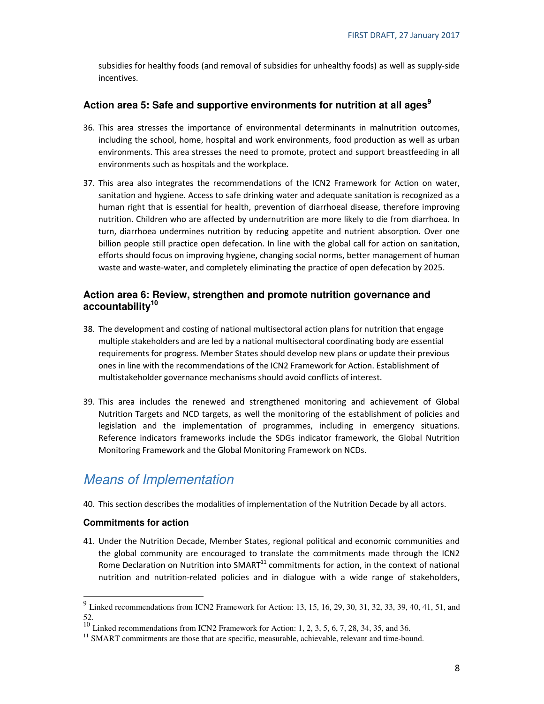subsidies for healthy foods (and removal of subsidies for unhealthy foods) as well as supply-side incentives.

#### **Action area 5: Safe and supportive environments for nutrition at all ages<sup>9</sup>**

- 36. This area stresses the importance of environmental determinants in malnutrition outcomes, including the school, home, hospital and work environments, food production as well as urban environments. This area stresses the need to promote, protect and support breastfeeding in all environments such as hospitals and the workplace.
- 37. This area also integrates the recommendations of the ICN2 Framework for Action on water, sanitation and hygiene. Access to safe drinking water and adequate sanitation is recognized as a human right that is essential for health, prevention of diarrhoeal disease, therefore improving nutrition. Children who are affected by undernutrition are more likely to die from diarrhoea. In turn, diarrhoea undermines nutrition by reducing appetite and nutrient absorption. Over one billion people still practice open defecation. In line with the global call for action on sanitation, efforts should focus on improving hygiene, changing social norms, better management of human waste and waste-water, and completely eliminating the practice of open defecation by 2025.

#### **Action area 6: Review, strengthen and promote nutrition governance and accountability<sup>10</sup>**

- 38. The development and costing of national multisectoral action plans for nutrition that engage multiple stakeholders and are led by a national multisectoral coordinating body are essential requirements for progress. Member States should develop new plans or update their previous ones in line with the recommendations of the ICN2 Framework for Action. Establishment of multistakeholder governance mechanisms should avoid conflicts of interest.
- 39. This area includes the renewed and strengthened monitoring and achievement of Global Nutrition Targets and NCD targets, as well the monitoring of the establishment of policies and legislation and the implementation of programmes, including in emergency situations. Reference indicators frameworks include the SDGs indicator framework, the Global Nutrition Monitoring Framework and the Global Monitoring Framework on NCDs.

## Means of Implementation

40. This section describes the modalities of implementation of the Nutrition Decade by all actors.

#### **Commitments for action**

41. Under the Nutrition Decade, Member States, regional political and economic communities and the global community are encouraged to translate the commitments made through the ICN2 Rome Declaration on Nutrition into SMART<sup>11</sup> commitments for action, in the context of national nutrition and nutrition-related policies and in dialogue with a wide range of stakeholders,

<sup>&</sup>lt;sup>9</sup><br><sup>9</sup> Linked recommendations from ICN2 Framework for Action: 13, 15, 16, 29, 30, 31, 32, 33, 39, 40, 41, 51, and 52.

<sup>&</sup>lt;sup>10</sup> Linked recommendations from ICN2 Framework for Action: 1, 2, 3, 5, 6, 7, 28, 34, 35, and 36.

<sup>&</sup>lt;sup>11</sup> SMART commitments are those that are specific, measurable, achievable, relevant and time-bound.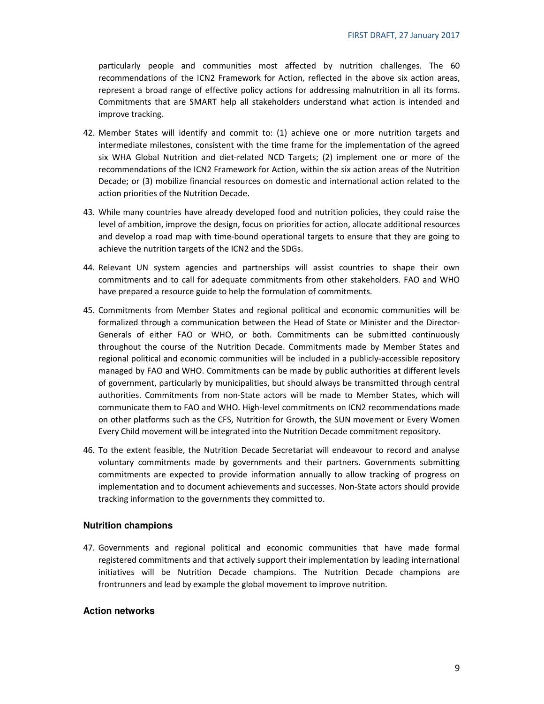particularly people and communities most affected by nutrition challenges. The 60 recommendations of the ICN2 Framework for Action, reflected in the above six action areas, represent a broad range of effective policy actions for addressing malnutrition in all its forms. Commitments that are SMART help all stakeholders understand what action is intended and improve tracking.

- 42. Member States will identify and commit to: (1) achieve one or more nutrition targets and intermediate milestones, consistent with the time frame for the implementation of the agreed six WHA Global Nutrition and diet-related NCD Targets; (2) implement one or more of the recommendations of the ICN2 Framework for Action, within the six action areas of the Nutrition Decade; or (3) mobilize financial resources on domestic and international action related to the action priorities of the Nutrition Decade.
- 43. While many countries have already developed food and nutrition policies, they could raise the level of ambition, improve the design, focus on priorities for action, allocate additional resources and develop a road map with time-bound operational targets to ensure that they are going to achieve the nutrition targets of the ICN2 and the SDGs.
- 44. Relevant UN system agencies and partnerships will assist countries to shape their own commitments and to call for adequate commitments from other stakeholders. FAO and WHO have prepared a resource guide to help the formulation of commitments.
- 45. Commitments from Member States and regional political and economic communities will be formalized through a communication between the Head of State or Minister and the Director-Generals of either FAO or WHO, or both. Commitments can be submitted continuously throughout the course of the Nutrition Decade. Commitments made by Member States and regional political and economic communities will be included in a publicly-accessible repository managed by FAO and WHO. Commitments can be made by public authorities at different levels of government, particularly by municipalities, but should always be transmitted through central authorities. Commitments from non-State actors will be made to Member States, which will communicate them to FAO and WHO. High-level commitments on ICN2 recommendations made on other platforms such as the CFS, Nutrition for Growth, the SUN movement or Every Women Every Child movement will be integrated into the Nutrition Decade commitment repository.
- 46. To the extent feasible, the Nutrition Decade Secretariat will endeavour to record and analyse voluntary commitments made by governments and their partners. Governments submitting commitments are expected to provide information annually to allow tracking of progress on implementation and to document achievements and successes. Non-State actors should provide tracking information to the governments they committed to.

#### **Nutrition champions**

47. Governments and regional political and economic communities that have made formal registered commitments and that actively support their implementation by leading international initiatives will be Nutrition Decade champions. The Nutrition Decade champions are frontrunners and lead by example the global movement to improve nutrition.

#### **Action networks**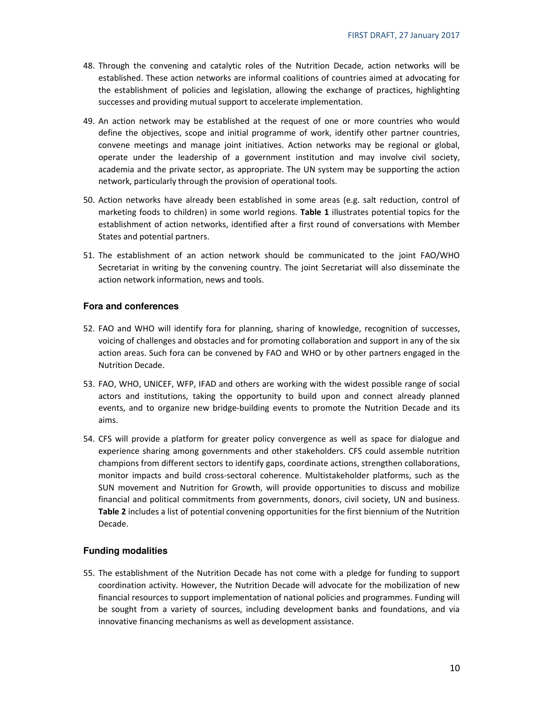- 48. Through the convening and catalytic roles of the Nutrition Decade, action networks will be established. These action networks are informal coalitions of countries aimed at advocating for the establishment of policies and legislation, allowing the exchange of practices, highlighting successes and providing mutual support to accelerate implementation.
- 49. An action network may be established at the request of one or more countries who would define the objectives, scope and initial programme of work, identify other partner countries, convene meetings and manage joint initiatives. Action networks may be regional or global, operate under the leadership of a government institution and may involve civil society, academia and the private sector, as appropriate. The UN system may be supporting the action network, particularly through the provision of operational tools.
- 50. Action networks have already been established in some areas (e.g. salt reduction, control of marketing foods to children) in some world regions. Table 1 illustrates potential topics for the establishment of action networks, identified after a first round of conversations with Member States and potential partners.
- 51. The establishment of an action network should be communicated to the joint FAO/WHO Secretariat in writing by the convening country. The joint Secretariat will also disseminate the action network information, news and tools.

#### **Fora and conferences**

- 52. FAO and WHO will identify fora for planning, sharing of knowledge, recognition of successes, voicing of challenges and obstacles and for promoting collaboration and support in any of the six action areas. Such fora can be convened by FAO and WHO or by other partners engaged in the Nutrition Decade.
- 53. FAO, WHO, UNICEF, WFP, IFAD and others are working with the widest possible range of social actors and institutions, taking the opportunity to build upon and connect already planned events, and to organize new bridge-building events to promote the Nutrition Decade and its aims.
- 54. CFS will provide a platform for greater policy convergence as well as space for dialogue and experience sharing among governments and other stakeholders. CFS could assemble nutrition champions from different sectors to identify gaps, coordinate actions, strengthen collaborations, monitor impacts and build cross-sectoral coherence. Multistakeholder platforms, such as the SUN movement and Nutrition for Growth, will provide opportunities to discuss and mobilize financial and political commitments from governments, donors, civil society, UN and business. Table 2 includes a list of potential convening opportunities for the first biennium of the Nutrition Decade.

#### **Funding modalities**

55. The establishment of the Nutrition Decade has not come with a pledge for funding to support coordination activity. However, the Nutrition Decade will advocate for the mobilization of new financial resources to support implementation of national policies and programmes. Funding will be sought from a variety of sources, including development banks and foundations, and via innovative financing mechanisms as well as development assistance.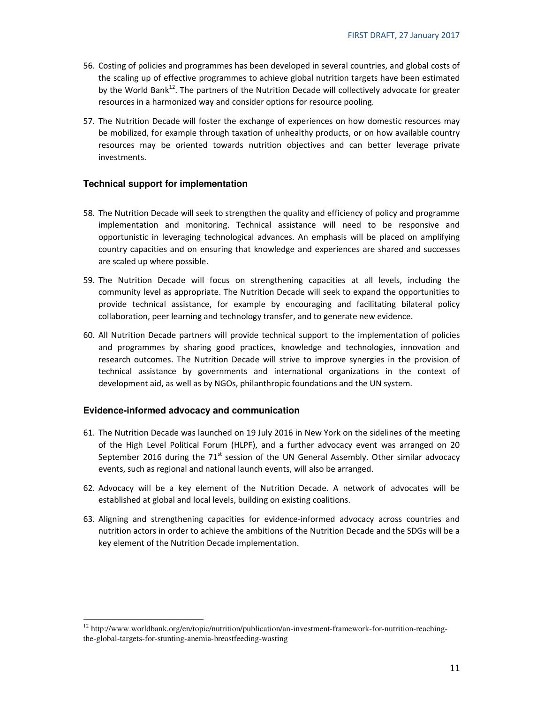- 56. Costing of policies and programmes has been developed in several countries, and global costs of the scaling up of effective programmes to achieve global nutrition targets have been estimated by the World Bank $^{12}$ . The partners of the Nutrition Decade will collectively advocate for greater resources in a harmonized way and consider options for resource pooling.
- 57. The Nutrition Decade will foster the exchange of experiences on how domestic resources may be mobilized, for example through taxation of unhealthy products, or on how available country resources may be oriented towards nutrition objectives and can better leverage private investments.

#### **Technical support for implementation**

- 58. The Nutrition Decade will seek to strengthen the quality and efficiency of policy and programme implementation and monitoring. Technical assistance will need to be responsive and opportunistic in leveraging technological advances. An emphasis will be placed on amplifying country capacities and on ensuring that knowledge and experiences are shared and successes are scaled up where possible.
- 59. The Nutrition Decade will focus on strengthening capacities at all levels, including the community level as appropriate. The Nutrition Decade will seek to expand the opportunities to provide technical assistance, for example by encouraging and facilitating bilateral policy collaboration, peer learning and technology transfer, and to generate new evidence.
- 60. All Nutrition Decade partners will provide technical support to the implementation of policies and programmes by sharing good practices, knowledge and technologies, innovation and research outcomes. The Nutrition Decade will strive to improve synergies in the provision of technical assistance by governments and international organizations in the context of development aid, as well as by NGOs, philanthropic foundations and the UN system.

#### **Evidence-informed advocacy and communication**

- 61. The Nutrition Decade was launched on 19 July 2016 in New York on the sidelines of the meeting of the High Level Political Forum (HLPF), and a further advocacy event was arranged on 20 September 2016 during the  $71<sup>st</sup>$  session of the UN General Assembly. Other similar advocacy events, such as regional and national launch events, will also be arranged.
- 62. Advocacy will be a key element of the Nutrition Decade. A network of advocates will be established at global and local levels, building on existing coalitions.
- 63. Aligning and strengthening capacities for evidence-informed advocacy across countries and nutrition actors in order to achieve the ambitions of the Nutrition Decade and the SDGs will be a key element of the Nutrition Decade implementation.

 $\overline{a}$  $12$  http://www.worldbank.org/en/topic/nutrition/publication/an-investment-framework-for-nutrition-reachingthe-global-targets-for-stunting-anemia-breastfeeding-wasting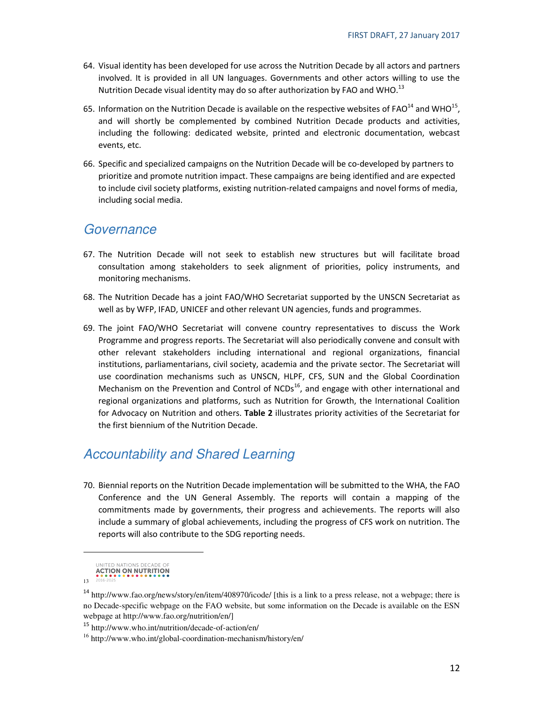- 64. Visual identity has been developed for use across the Nutrition Decade by all actors and partners involved. It is provided in all UN languages. Governments and other actors willing to use the Nutrition Decade visual identity may do so after authorization by FAO and WHO. $^{13}$
- 65. Information on the Nutrition Decade is available on the respective websites of FAO<sup>14</sup> and WHO<sup>15</sup>, and will shortly be complemented by combined Nutrition Decade products and activities, including the following: dedicated website, printed and electronic documentation, webcast events, etc.
- 66. Specific and specialized campaigns on the Nutrition Decade will be co-developed by partners to prioritize and promote nutrition impact. These campaigns are being identified and are expected to include civil society platforms, existing nutrition-related campaigns and novel forms of media, including social media.

### **Governance**

- 67. The Nutrition Decade will not seek to establish new structures but will facilitate broad consultation among stakeholders to seek alignment of priorities, policy instruments, and monitoring mechanisms.
- 68. The Nutrition Decade has a joint FAO/WHO Secretariat supported by the UNSCN Secretariat as well as by WFP, IFAD, UNICEF and other relevant UN agencies, funds and programmes.
- 69. The joint FAO/WHO Secretariat will convene country representatives to discuss the Work Programme and progress reports. The Secretariat will also periodically convene and consult with other relevant stakeholders including international and regional organizations, financial institutions, parliamentarians, civil society, academia and the private sector. The Secretariat will use coordination mechanisms such as UNSCN, HLPF, CFS, SUN and the Global Coordination Mechanism on the Prevention and Control of  $NCDs<sup>16</sup>$ , and engage with other international and regional organizations and platforms, such as Nutrition for Growth, the International Coalition for Advocacy on Nutrition and others. Table 2 illustrates priority activities of the Secretariat for the first biennium of the Nutrition Decade.

## Accountability and Shared Learning

70. Biennial reports on the Nutrition Decade implementation will be submitted to the WHA, the FAO Conference and the UN General Assembly. The reports will contain a mapping of the commitments made by governments, their progress and achievements. The reports will also include a summary of global achievements, including the progress of CFS work on nutrition. The reports will also contribute to the SDG reporting needs.

UNITED NATIONS DECADE OF **ACTION ON NUTRITION** 

 $\overline{a}$ 

<sup>13</sup>

<sup>&</sup>lt;sup>14</sup> http://www.fao.org/news/story/en/item/408970/icode/ [this is a link to a press release, not a webpage; there is no Decade-specific webpage on the FAO website, but some information on the Decade is available on the ESN webpage at http://www.fao.org/nutrition/en/]

<sup>15</sup> http://www.who.int/nutrition/decade-of-action/en/

<sup>16</sup> http://www.who.int/global-coordination-mechanism/history/en/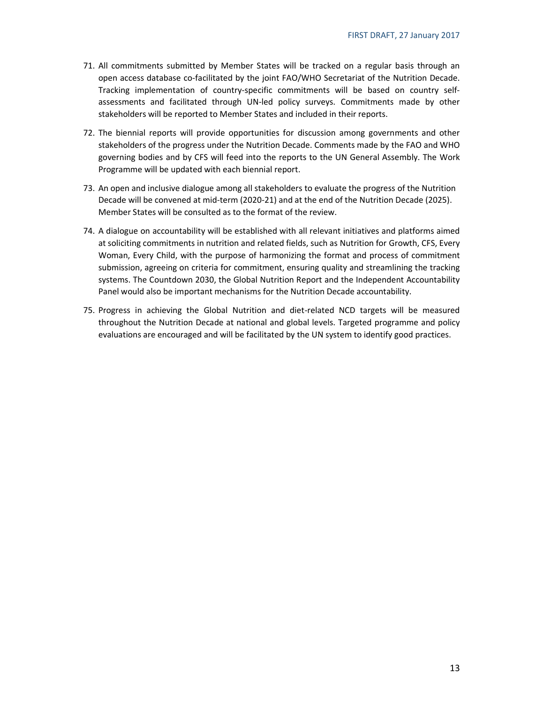- 71. All commitments submitted by Member States will be tracked on a regular basis through an open access database co-facilitated by the joint FAO/WHO Secretariat of the Nutrition Decade. Tracking implementation of country-specific commitments will be based on country selfassessments and facilitated through UN-led policy surveys. Commitments made by other stakeholders will be reported to Member States and included in their reports.
- 72. The biennial reports will provide opportunities for discussion among governments and other stakeholders of the progress under the Nutrition Decade. Comments made by the FAO and WHO governing bodies and by CFS will feed into the reports to the UN General Assembly. The Work Programme will be updated with each biennial report.
- 73. An open and inclusive dialogue among all stakeholders to evaluate the progress of the Nutrition Decade will be convened at mid-term (2020-21) and at the end of the Nutrition Decade (2025). Member States will be consulted as to the format of the review.
- 74. A dialogue on accountability will be established with all relevant initiatives and platforms aimed at soliciting commitments in nutrition and related fields, such as Nutrition for Growth, CFS, Every Woman, Every Child, with the purpose of harmonizing the format and process of commitment submission, agreeing on criteria for commitment, ensuring quality and streamlining the tracking systems. The Countdown 2030, the Global Nutrition Report and the Independent Accountability Panel would also be important mechanisms for the Nutrition Decade accountability.
- 75. Progress in achieving the Global Nutrition and diet-related NCD targets will be measured throughout the Nutrition Decade at national and global levels. Targeted programme and policy evaluations are encouraged and will be facilitated by the UN system to identify good practices.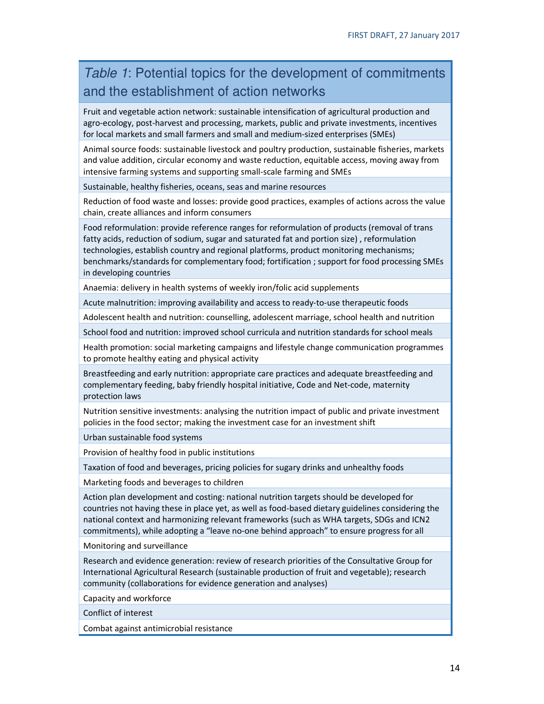## Table 1: Potential topics for the development of commitments and the establishment of action networks

Fruit and vegetable action network: sustainable intensification of agricultural production and agro-ecology, post-harvest and processing, markets, public and private investments, incentives for local markets and small farmers and small and medium-sized enterprises (SMEs)

Animal source foods: sustainable livestock and poultry production, sustainable fisheries, markets and value addition, circular economy and waste reduction, equitable access, moving away from intensive farming systems and supporting small-scale farming and SMEs

Sustainable, healthy fisheries, oceans, seas and marine resources

Reduction of food waste and losses: provide good practices, examples of actions across the value chain, create alliances and inform consumers

Food reformulation: provide reference ranges for reformulation of products (removal of trans fatty acids, reduction of sodium, sugar and saturated fat and portion size) , reformulation technologies, establish country and regional platforms, product monitoring mechanisms; benchmarks/standards for complementary food; fortification ; support for food processing SMEs in developing countries

Anaemia: delivery in health systems of weekly iron/folic acid supplements

Acute malnutrition: improving availability and access to ready-to-use therapeutic foods

Adolescent health and nutrition: counselling, adolescent marriage, school health and nutrition

School food and nutrition: improved school curricula and nutrition standards for school meals

Health promotion: social marketing campaigns and lifestyle change communication programmes to promote healthy eating and physical activity

Breastfeeding and early nutrition: appropriate care practices and adequate breastfeeding and complementary feeding, baby friendly hospital initiative, Code and Net-code, maternity protection laws

Nutrition sensitive investments: analysing the nutrition impact of public and private investment policies in the food sector; making the investment case for an investment shift

Urban sustainable food systems

Provision of healthy food in public institutions

Taxation of food and beverages, pricing policies for sugary drinks and unhealthy foods

Marketing foods and beverages to children

Action plan development and costing: national nutrition targets should be developed for countries not having these in place yet, as well as food-based dietary guidelines considering the national context and harmonizing relevant frameworks (such as WHA targets, SDGs and ICN2 commitments), while adopting a "leave no-one behind approach" to ensure progress for all

Monitoring and surveillance

Research and evidence generation: review of research priorities of the Consultative Group for International Agricultural Research (sustainable production of fruit and vegetable); research community (collaborations for evidence generation and analyses)

Capacity and workforce

Conflict of interest

Combat against antimicrobial resistance